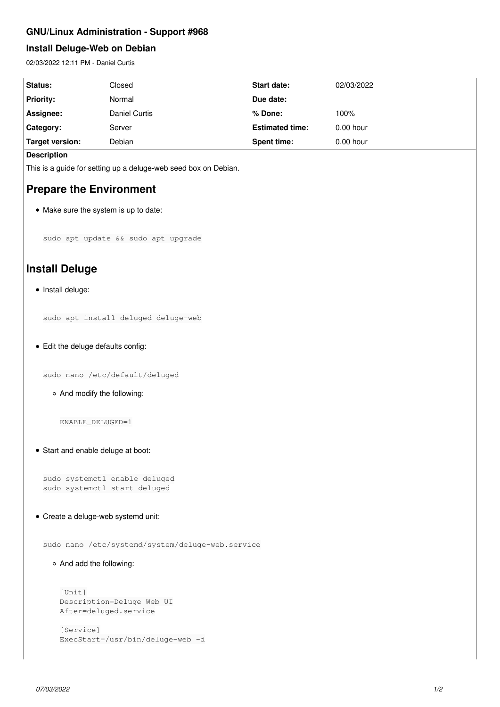### **GNU/Linux Administration - Support #968**

## **Install Deluge-Web on Debian**

02/03/2022 12:11 PM - Daniel Curtis

| Status:          | Closed        | <b>Start date:</b>     | 02/03/2022  |
|------------------|---------------|------------------------|-------------|
| <b>Priority:</b> | Normal        | Due date:              |             |
| Assignee:        | Daniel Curtis | l % Done:              | 100%        |
| <b>Category:</b> | Server        | <b>Estimated time:</b> | $0.00$ hour |
| Target version:  | Debian        | <b>Spent time:</b>     | $0.00$ hour |

#### **Description**

This is a guide for setting up a deluge-web seed box on Debian.

## **Prepare the Environment**

• Make sure the system is up to date:

sudo apt update && sudo apt upgrade

# **Install Deluge**

 $\bullet$  Install deluge:

sudo apt install deluged deluge-web

Edit the deluge defaults config:

sudo nano /etc/default/deluged

And modify the following:

ENABLE\_DELUGED=1

Start and enable deluge at boot:

sudo systemctl enable deluged sudo systemctl start deluged

Create a deluge-web systemd unit:

sudo nano /etc/systemd/system/deluge-web.service

And add the following:

```
[Unit]
Description=Deluge Web UI
After=deluged.service
```

```
[Service]
ExecStart=/usr/bin/deluge-web -d
```